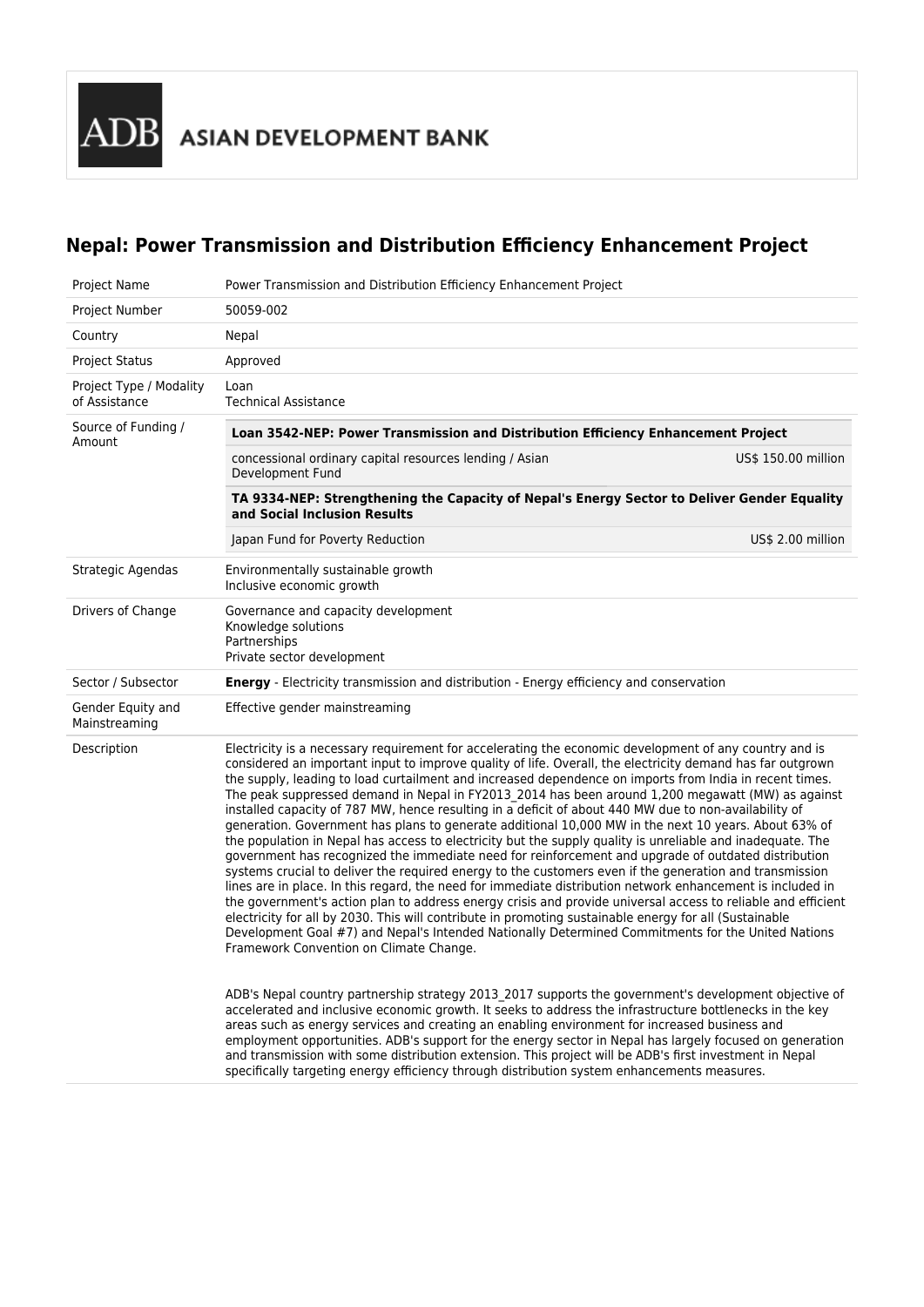**ADB** ASIAN DEVELOPMENT BANK

# **Nepal: Power Transmission and Distribution Efficiency Enhancement Project**

| Project Name                             | Power Transmission and Distribution Efficiency Enhancement Project                                                                                                                                                                                                                                                                                                                                                                                                                                                                                                                                                                                                                                                                                                                                                                                                                                                                                                                                                                                                                                                                                                                                                                                                                                                                                                                                                                                                             |  |  |  |
|------------------------------------------|--------------------------------------------------------------------------------------------------------------------------------------------------------------------------------------------------------------------------------------------------------------------------------------------------------------------------------------------------------------------------------------------------------------------------------------------------------------------------------------------------------------------------------------------------------------------------------------------------------------------------------------------------------------------------------------------------------------------------------------------------------------------------------------------------------------------------------------------------------------------------------------------------------------------------------------------------------------------------------------------------------------------------------------------------------------------------------------------------------------------------------------------------------------------------------------------------------------------------------------------------------------------------------------------------------------------------------------------------------------------------------------------------------------------------------------------------------------------------------|--|--|--|
| Project Number                           | 50059-002                                                                                                                                                                                                                                                                                                                                                                                                                                                                                                                                                                                                                                                                                                                                                                                                                                                                                                                                                                                                                                                                                                                                                                                                                                                                                                                                                                                                                                                                      |  |  |  |
| Country                                  | Nepal                                                                                                                                                                                                                                                                                                                                                                                                                                                                                                                                                                                                                                                                                                                                                                                                                                                                                                                                                                                                                                                                                                                                                                                                                                                                                                                                                                                                                                                                          |  |  |  |
| <b>Project Status</b>                    | Approved                                                                                                                                                                                                                                                                                                                                                                                                                                                                                                                                                                                                                                                                                                                                                                                                                                                                                                                                                                                                                                                                                                                                                                                                                                                                                                                                                                                                                                                                       |  |  |  |
| Project Type / Modality<br>of Assistance | Loan<br><b>Technical Assistance</b>                                                                                                                                                                                                                                                                                                                                                                                                                                                                                                                                                                                                                                                                                                                                                                                                                                                                                                                                                                                                                                                                                                                                                                                                                                                                                                                                                                                                                                            |  |  |  |
| Source of Funding /<br>Amount            | Loan 3542-NEP: Power Transmission and Distribution Efficiency Enhancement Project                                                                                                                                                                                                                                                                                                                                                                                                                                                                                                                                                                                                                                                                                                                                                                                                                                                                                                                                                                                                                                                                                                                                                                                                                                                                                                                                                                                              |  |  |  |
|                                          | concessional ordinary capital resources lending / Asian<br>US\$ 150.00 million<br>Development Fund                                                                                                                                                                                                                                                                                                                                                                                                                                                                                                                                                                                                                                                                                                                                                                                                                                                                                                                                                                                                                                                                                                                                                                                                                                                                                                                                                                             |  |  |  |
|                                          | TA 9334-NEP: Strengthening the Capacity of Nepal's Energy Sector to Deliver Gender Equality<br>and Social Inclusion Results                                                                                                                                                                                                                                                                                                                                                                                                                                                                                                                                                                                                                                                                                                                                                                                                                                                                                                                                                                                                                                                                                                                                                                                                                                                                                                                                                    |  |  |  |
|                                          | Japan Fund for Poverty Reduction<br>US\$ 2.00 million                                                                                                                                                                                                                                                                                                                                                                                                                                                                                                                                                                                                                                                                                                                                                                                                                                                                                                                                                                                                                                                                                                                                                                                                                                                                                                                                                                                                                          |  |  |  |
| Strategic Agendas                        | Environmentally sustainable growth<br>Inclusive economic growth                                                                                                                                                                                                                                                                                                                                                                                                                                                                                                                                                                                                                                                                                                                                                                                                                                                                                                                                                                                                                                                                                                                                                                                                                                                                                                                                                                                                                |  |  |  |
| Drivers of Change                        | Governance and capacity development<br>Knowledge solutions<br>Partnerships<br>Private sector development                                                                                                                                                                                                                                                                                                                                                                                                                                                                                                                                                                                                                                                                                                                                                                                                                                                                                                                                                                                                                                                                                                                                                                                                                                                                                                                                                                       |  |  |  |
| Sector / Subsector                       | <b>Energy</b> - Electricity transmission and distribution - Energy efficiency and conservation                                                                                                                                                                                                                                                                                                                                                                                                                                                                                                                                                                                                                                                                                                                                                                                                                                                                                                                                                                                                                                                                                                                                                                                                                                                                                                                                                                                 |  |  |  |
| Gender Equity and<br>Mainstreaming       | Effective gender mainstreaming                                                                                                                                                                                                                                                                                                                                                                                                                                                                                                                                                                                                                                                                                                                                                                                                                                                                                                                                                                                                                                                                                                                                                                                                                                                                                                                                                                                                                                                 |  |  |  |
| Description                              | Electricity is a necessary requirement for accelerating the economic development of any country and is<br>considered an important input to improve quality of life. Overall, the electricity demand has far outgrown<br>the supply, leading to load curtailment and increased dependence on imports from India in recent times.<br>The peak suppressed demand in Nepal in FY2013_2014 has been around 1,200 megawatt (MW) as against<br>installed capacity of 787 MW, hence resulting in a deficit of about 440 MW due to non-availability of<br>generation. Government has plans to generate additional 10,000 MW in the next 10 years. About 63% of<br>the population in Nepal has access to electricity but the supply quality is unreliable and inadequate. The<br>government has recognized the immediate need for reinforcement and upgrade of outdated distribution<br>systems crucial to deliver the required energy to the customers even if the generation and transmission<br>lines are in place. In this regard, the need for immediate distribution network enhancement is included in<br>the government's action plan to address energy crisis and provide universal access to reliable and efficient<br>electricity for all by 2030. This will contribute in promoting sustainable energy for all (Sustainable<br>Development Goal #7) and Nepal's Intended Nationally Determined Commitments for the United Nations<br>Framework Convention on Climate Change. |  |  |  |
|                                          | ADB's Nepal country partnership strategy 2013 2017 supports the government's development objective of<br>accelerated and inclusive economic growth. It seeks to address the infrastructure bottlenecks in the key<br>areas such as energy services and creating an enabling environment for increased business and<br>employment opportunities. ADB's support for the energy sector in Nepal has largely focused on generation<br>and transmission with some distribution extension. This project will be ADB's first investment in Nepal<br>specifically targeting energy efficiency through distribution system enhancements measures.                                                                                                                                                                                                                                                                                                                                                                                                                                                                                                                                                                                                                                                                                                                                                                                                                                       |  |  |  |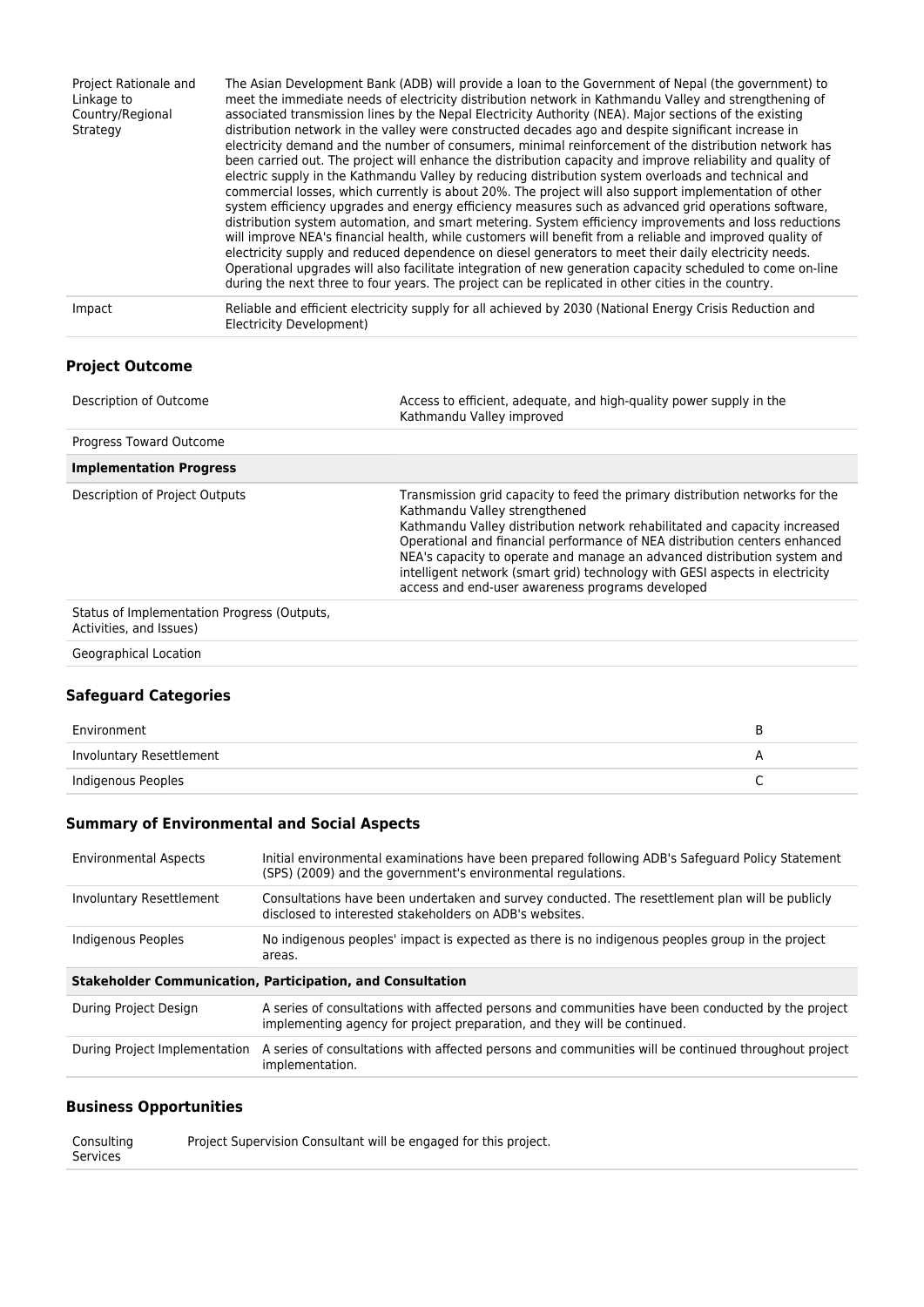| Project Rationale and<br>Linkage to<br>Country/Regional<br>Strategy | The Asian Development Bank (ADB) will provide a loan to the Government of Nepal (the government) to<br>meet the immediate needs of electricity distribution network in Kathmandu Valley and strengthening of<br>associated transmission lines by the Nepal Electricity Authority (NEA). Major sections of the existing<br>distribution network in the valley were constructed decades ago and despite significant increase in<br>electricity demand and the number of consumers, minimal reinforcement of the distribution network has<br>been carried out. The project will enhance the distribution capacity and improve reliability and quality of<br>electric supply in the Kathmandu Valley by reducing distribution system overloads and technical and<br>commercial losses, which currently is about 20%. The project will also support implementation of other<br>system efficiency upgrades and energy efficiency measures such as advanced grid operations software,<br>distribution system automation, and smart metering. System efficiency improvements and loss reductions<br>will improve NEA's financial health, while customers will benefit from a reliable and improved quality of<br>electricity supply and reduced dependence on diesel generators to meet their daily electricity needs.<br>Operational upgrades will also facilitate integration of new generation capacity scheduled to come on-line<br>during the next three to four years. The project can be replicated in other cities in the country. |
|---------------------------------------------------------------------|------------------------------------------------------------------------------------------------------------------------------------------------------------------------------------------------------------------------------------------------------------------------------------------------------------------------------------------------------------------------------------------------------------------------------------------------------------------------------------------------------------------------------------------------------------------------------------------------------------------------------------------------------------------------------------------------------------------------------------------------------------------------------------------------------------------------------------------------------------------------------------------------------------------------------------------------------------------------------------------------------------------------------------------------------------------------------------------------------------------------------------------------------------------------------------------------------------------------------------------------------------------------------------------------------------------------------------------------------------------------------------------------------------------------------------------------------------------------------------------------------------------------------------|
| Impact                                                              | Reliable and efficient electricity supply for all achieved by 2030 (National Energy Crisis Reduction and<br>Electricity Development)                                                                                                                                                                                                                                                                                                                                                                                                                                                                                                                                                                                                                                                                                                                                                                                                                                                                                                                                                                                                                                                                                                                                                                                                                                                                                                                                                                                               |
|                                                                     |                                                                                                                                                                                                                                                                                                                                                                                                                                                                                                                                                                                                                                                                                                                                                                                                                                                                                                                                                                                                                                                                                                                                                                                                                                                                                                                                                                                                                                                                                                                                    |

## **Project Outcome**

| Description of Outcome                                                 | Access to efficient, adequate, and high-quality power supply in the<br>Kathmandu Valley improved                                                                                                                                                                                                                                                                                                                                                                                          |  |  |
|------------------------------------------------------------------------|-------------------------------------------------------------------------------------------------------------------------------------------------------------------------------------------------------------------------------------------------------------------------------------------------------------------------------------------------------------------------------------------------------------------------------------------------------------------------------------------|--|--|
| Progress Toward Outcome                                                |                                                                                                                                                                                                                                                                                                                                                                                                                                                                                           |  |  |
| <b>Implementation Progress</b>                                         |                                                                                                                                                                                                                                                                                                                                                                                                                                                                                           |  |  |
| Description of Project Outputs                                         | Transmission grid capacity to feed the primary distribution networks for the<br>Kathmandu Valley strengthened<br>Kathmandu Valley distribution network rehabilitated and capacity increased<br>Operational and financial performance of NEA distribution centers enhanced<br>NEA's capacity to operate and manage an advanced distribution system and<br>intelligent network (smart grid) technology with GESI aspects in electricity<br>access and end-user awareness programs developed |  |  |
| Status of Implementation Progress (Outputs,<br>Activities, and Issues) |                                                                                                                                                                                                                                                                                                                                                                                                                                                                                           |  |  |

Geographical Location

## **Safeguard Categories**

| Environment              |  |
|--------------------------|--|
| Involuntary Resettlement |  |
| Indigenous Peoples       |  |

# **Summary of Environmental and Social Aspects**

| <b>Environmental Aspects</b> | Initial environmental examinations have been prepared following ADB's Safeguard Policy Statement<br>(SPS) (2009) and the government's environmental regulations.               |
|------------------------------|--------------------------------------------------------------------------------------------------------------------------------------------------------------------------------|
| Involuntary Resettlement     | Consultations have been undertaken and survey conducted. The resettlement plan will be publicly<br>disclosed to interested stakeholders on ADB's websites.                     |
| Indigenous Peoples           | No indigenous peoples' impact is expected as there is no indigenous peoples group in the project<br>areas.                                                                     |
|                              |                                                                                                                                                                                |
|                              | <b>Stakeholder Communication, Participation, and Consultation</b>                                                                                                              |
| During Project Design        | A series of consultations with affected persons and communities have been conducted by the project<br>implementing agency for project preparation, and they will be continued. |

# **Business Opportunities**

Consulting Services Project Supervision Consultant will be engaged for this project.